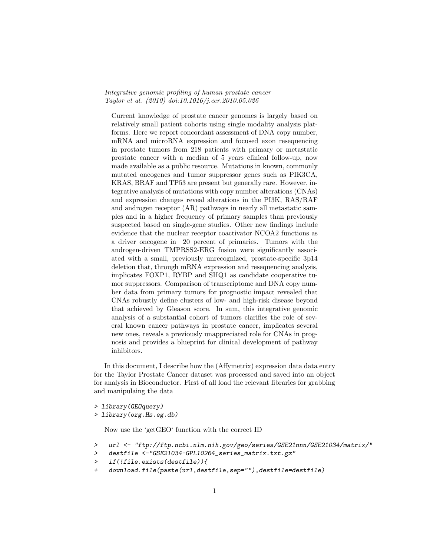## Integrative genomic profiling of human prostate cancer Taylor et al. (2010) doi:10.1016/j.ccr.2010.05.026

Current knowledge of prostate cancer genomes is largely based on relatively small patient cohorts using single modality analysis platforms. Here we report concordant assessment of DNA copy number, mRNA and microRNA expression and focused exon resequencing in prostate tumors from 218 patients with primary or metastatic prostate cancer with a median of 5 years clinical follow-up, now made available as a public resource. Mutations in known, commonly mutated oncogenes and tumor suppressor genes such as PIK3CA, KRAS, BRAF and TP53 are present but generally rare. However, integrative analysis of mutations with copy number alterations (CNAs) and expression changes reveal alterations in the PI3K, RAS/RAF and androgen receptor (AR) pathways in nearly all metastatic samples and in a higher frequency of primary samples than previously suspected based on single-gene studies. Other new findings include evidence that the nuclear receptor coactivator NCOA2 functions as a driver oncogene in 20 percent of primaries. Tumors with the androgen-driven TMPRSS2-ERG fusion were significantly associated with a small, previously unrecognized, prostate-specific 3p14 deletion that, through mRNA expression and resequencing analysis, implicates FOXP1, RYBP and SHQ1 as candidate cooperative tumor suppressors. Comparison of transcriptome and DNA copy number data from primary tumors for prognostic impact revealed that CNAs robustly define clusters of low- and high-risk disease beyond that achieved by Gleason score. In sum, this integrative genomic analysis of a substantial cohort of tumors clarifies the role of several known cancer pathways in prostate cancer, implicates several new ones, reveals a previously unappreciated role for CNAs in prognosis and provides a blueprint for clinical development of pathway inhibitors.

In this document, I describe how the (Affymetrix) expression data data entry for the Taylor Prostate Cancer dataset was processed and saved into an object for analysis in Bioconductor. First of all load the relevant libraries for grabbing and manipulaing the data

> library(GEOquery)

> library(org.Hs.eg.db)

Now use the 'getGEO' function with the correct ID

- > url <- "ftp://ftp.ncbi.nlm.nih.gov/geo/series/GSE21nnn/GSE21034/matrix/"
- > destfile <-"GSE21034-GPL10264\_series\_matrix.txt.gz"
- > if(!file.exists(destfile)){
- download.file(paste(url,destfile,sep=""),destfile=destfile)